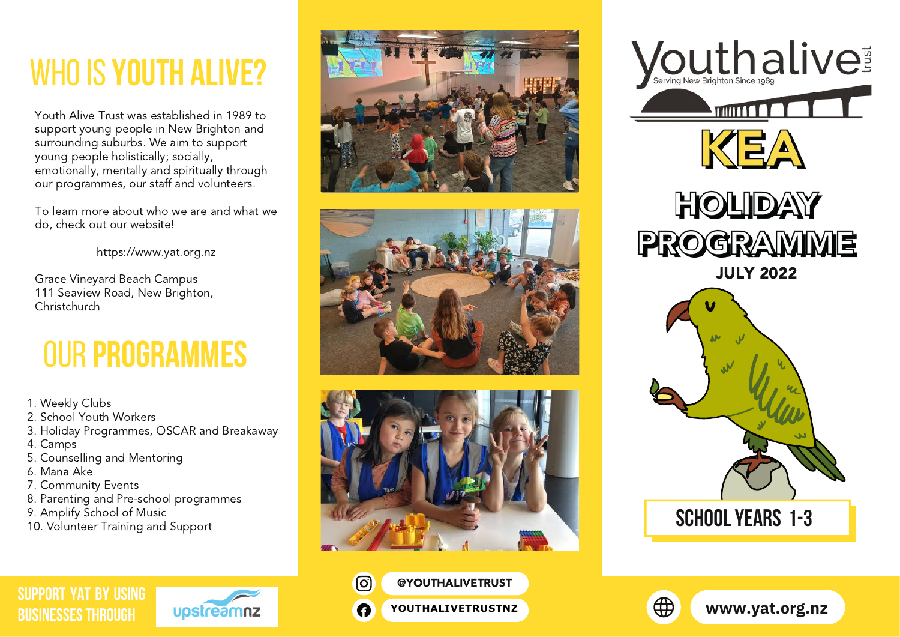# whoIS **YOUTH ALIVE?**

Youth Alive Trust was established in 1989 to support young people in New Brighton and surrounding suburbs. We aim to support young people holistically; socially, emotionally, mentally and spiritually through our programmes, our staff and volunteers.

To learn more about who we are and what we do, check out our website!

[https://www.yat.org.nz](https://www.yat.org.nz/)

Grace Vineyard Beach Campus 111 Seaview Road, New Brighton, Christchurch

## our **Programmes**

- 1. Weekly Clubs
- 2. School Youth Workers
- 3. Holiday Programmes, OSCAR and Breakaway
- 4. Camps
- 5. Counselling and Mentoring
- 6. Mana Ake
- 7. Community Events
- 8. Parenting and Pre-school programmes
- 9. Amplify School of Music
- 10. Volunteer Training and Support









 $\Theta$ 

A







**[SUPPORT YAT BY USING](https://www.upstreamnz.co.nz/) BUSINESSES THROUGH**



[@YOUTHALIVETRUST](https://www.instagram.com/youthalivetrust/)